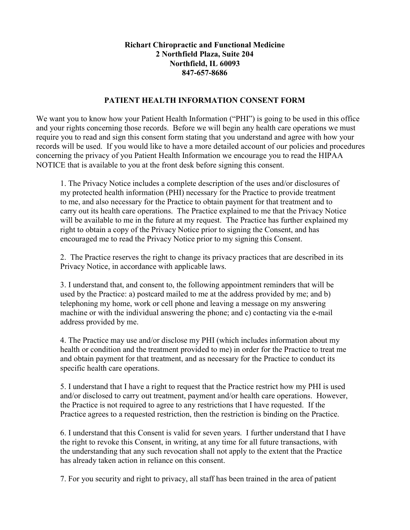## Richart Chiropractic and Functional Medicine 2 Northfield Plaza, Suite 204 Northfield, IL 60093 847-657-8686

## PATIENT HEALTH INFORMATION CONSENT FORM

We want you to know how your Patient Health Information ("PHI") is going to be used in this office and your rights concerning those records. Before we will begin any health care operations we must require you to read and sign this consent form stating that you understand and agree with how your records will be used. If you would like to have a more detailed account of our policies and procedures concerning the privacy of you Patient Health Information we encourage you to read the HIPAA NOTICE that is available to you at the front desk before signing this consent.

1. The Privacy Notice includes a complete description of the uses and/or disclosures of my protected health information (PHI) necessary for the Practice to provide treatment to me, and also necessary for the Practice to obtain payment for that treatment and to carry out its health care operations. The Practice explained to me that the Privacy Notice will be available to me in the future at my request. The Practice has further explained my right to obtain a copy of the Privacy Notice prior to signing the Consent, and has encouraged me to read the Privacy Notice prior to my signing this Consent.

2. The Practice reserves the right to change its privacy practices that are described in its Privacy Notice, in accordance with applicable laws.

3. I understand that, and consent to, the following appointment reminders that will be used by the Practice: a) postcard mailed to me at the address provided by me; and b) telephoning my home, work or cell phone and leaving a message on my answering machine or with the individual answering the phone; and c) contacting via the e-mail address provided by me.

4. The Practice may use and/or disclose my PHI (which includes information about my health or condition and the treatment provided to me) in order for the Practice to treat me and obtain payment for that treatment, and as necessary for the Practice to conduct its specific health care operations.

5. I understand that I have a right to request that the Practice restrict how my PHI is used and/or disclosed to carry out treatment, payment and/or health care operations. However, the Practice is not required to agree to any restrictions that I have requested. If the Practice agrees to a requested restriction, then the restriction is binding on the Practice.

6. I understand that this Consent is valid for seven years. I further understand that I have the right to revoke this Consent, in writing, at any time for all future transactions, with the understanding that any such revocation shall not apply to the extent that the Practice has already taken action in reliance on this consent.

7. For you security and right to privacy, all staff has been trained in the area of patient